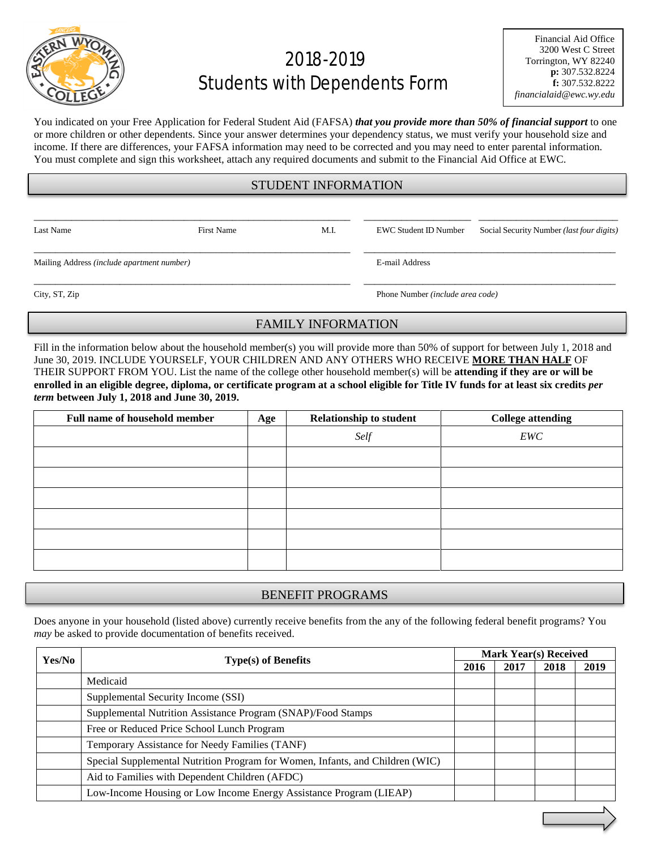

# 2018-2019 Students with Dependents Form

You indicated on your Free Application for Federal Student Aid (FAFSA) *that you provide more than 50% of financial support* to one or more children or other dependents. Since your answer determines your dependency status, we must verify your household size and income. If there are differences, your FAFSA information may need to be corrected and you may need to enter parental information. You must complete and sign this worksheet, attach any required documents and submit to the Financial Aid Office at EWC.

## STUDENT INFORMATION

\_\_\_\_\_\_\_\_\_\_\_\_\_\_\_\_\_\_\_\_\_\_\_\_\_\_\_\_\_\_\_\_\_\_\_\_\_\_\_\_\_\_\_\_\_\_\_\_\_\_\_\_\_\_\_\_\_\_\_ \_\_\_\_\_\_\_\_\_\_\_\_\_\_\_\_\_\_\_\_ \_\_\_\_\_\_\_\_\_\_\_\_\_\_\_\_\_\_\_\_\_\_\_\_\_\_

\_\_\_\_\_\_\_\_\_\_\_\_\_\_\_\_\_\_\_\_\_\_\_\_\_\_\_\_\_\_\_\_\_\_\_\_\_\_\_\_\_\_\_\_\_\_\_\_\_\_\_\_\_\_\_\_\_\_\_ \_\_\_\_\_\_\_\_\_\_\_\_\_\_\_\_\_\_\_\_\_\_\_\_\_\_\_\_\_\_\_\_\_\_\_\_\_\_\_\_\_\_\_\_\_\_\_

Last Name First Name First Name M.I. EWC Student ID Number Social Security Number *(last four digits)* 

Mailing Address *(include apartment number)* E-mail Address

City, ST, Zip Phone Number *(include area code)*

## FAMILY INFORMATION

\_\_\_\_\_\_\_\_\_\_\_\_\_\_\_\_\_\_\_\_\_\_\_\_\_\_\_\_\_\_\_\_\_\_\_\_\_\_\_\_\_\_\_\_\_\_\_\_\_\_\_\_\_\_\_\_\_\_\_ \_\_\_\_\_\_\_\_\_\_\_\_\_\_\_\_\_\_\_\_\_\_\_\_\_\_\_\_\_\_\_\_\_\_\_\_\_\_\_\_\_\_\_\_\_\_\_

Fill in the information below about the household member(s) you will provide more than 50% of support for between July 1, 2018 and June 30, 2019. INCLUDE YOURSELF, YOUR CHILDREN AND ANY OTHERS WHO RECEIVE **MORE THAN HALF** OF THEIR SUPPORT FROM YOU. List the name of the college other household member(s) will be **attending if they are or will be enrolled in an eligible degree, diploma, or certificate program at a school eligible for Title IV funds for at least six credits** *per term* **between July 1, 2018 and June 30, 2019.**

| <b>Full name of household member</b> | Age | <b>Relationship to student</b> | <b>College attending</b> |
|--------------------------------------|-----|--------------------------------|--------------------------|
|                                      |     | Self                           | EWC                      |
|                                      |     |                                |                          |
|                                      |     |                                |                          |
|                                      |     |                                |                          |
|                                      |     |                                |                          |
|                                      |     |                                |                          |
|                                      |     |                                |                          |

## BENEFIT PROGRAMS

Does anyone in your household (listed above) currently receive benefits from the any of the following federal benefit programs? You *may* be asked to provide documentation of benefits received.

| Yes/No |                                                                               | <b>Mark Year(s) Received</b> |      |      |      |
|--------|-------------------------------------------------------------------------------|------------------------------|------|------|------|
|        | Type(s) of Benefits                                                           |                              | 2017 | 2018 | 2019 |
|        | Medicaid                                                                      |                              |      |      |      |
|        | Supplemental Security Income (SSI)                                            |                              |      |      |      |
|        | Supplemental Nutrition Assistance Program (SNAP)/Food Stamps                  |                              |      |      |      |
|        | Free or Reduced Price School Lunch Program                                    |                              |      |      |      |
|        | Temporary Assistance for Needy Families (TANF)                                |                              |      |      |      |
|        | Special Supplemental Nutrition Program for Women, Infants, and Children (WIC) |                              |      |      |      |
|        | Aid to Families with Dependent Children (AFDC)                                |                              |      |      |      |
|        | Low-Income Housing or Low Income Energy Assistance Program (LIEAP)            |                              |      |      |      |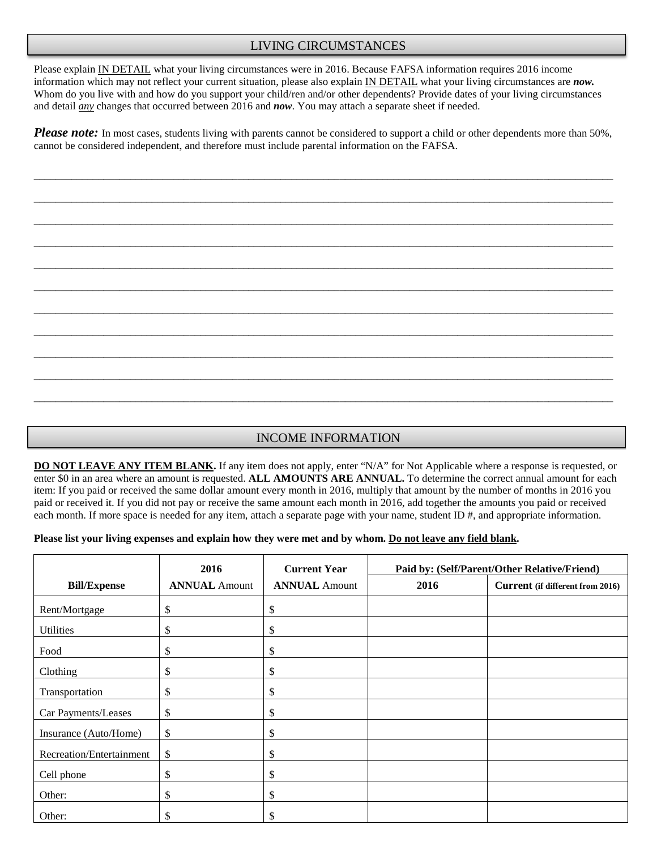## LIVING CIRCUMSTANCES

Please explain IN DETAIL what your living circumstances were in 2016. Because FAFSA information requires 2016 income information which may not reflect your current situation, please also explain IN DETAIL what your living circumstances are *now.*  Whom do you live with and how do you support your child/ren and/or other dependents? Provide dates of your living circumstances and detail *any* changes that occurred between 2016 and *now*. You may attach a separate sheet if needed.

*Please note:* In most cases, students living with parents cannot be considered to support a child or other dependents more than 50%, cannot be considered independent, and therefore must include parental information on the FAFSA.

\_\_\_\_\_\_\_\_\_\_\_\_\_\_\_\_\_\_\_\_\_\_\_\_\_\_\_\_\_\_\_\_\_\_\_\_\_\_\_\_\_\_\_\_\_\_\_\_\_\_\_\_\_\_\_\_\_\_\_\_\_\_\_\_\_\_\_\_\_\_\_\_\_\_\_\_\_\_\_\_\_\_\_\_\_\_\_\_\_\_\_\_\_\_\_\_\_\_\_\_\_\_\_\_\_\_\_\_

\_\_\_\_\_\_\_\_\_\_\_\_\_\_\_\_\_\_\_\_\_\_\_\_\_\_\_\_\_\_\_\_\_\_\_\_\_\_\_\_\_\_\_\_\_\_\_\_\_\_\_\_\_\_\_\_\_\_\_\_\_\_\_\_\_\_\_\_\_\_\_\_\_\_\_\_\_\_\_\_\_\_\_\_\_\_\_\_\_\_\_\_\_\_\_\_\_\_\_\_\_\_\_\_\_\_\_\_

\_\_\_\_\_\_\_\_\_\_\_\_\_\_\_\_\_\_\_\_\_\_\_\_\_\_\_\_\_\_\_\_\_\_\_\_\_\_\_\_\_\_\_\_\_\_\_\_\_\_\_\_\_\_\_\_\_\_\_\_\_\_\_\_\_\_\_\_\_\_\_\_\_\_\_\_\_\_\_\_\_\_\_\_\_\_\_\_\_\_\_\_\_\_\_\_\_\_\_\_\_\_\_\_\_\_\_\_

\_\_\_\_\_\_\_\_\_\_\_\_\_\_\_\_\_\_\_\_\_\_\_\_\_\_\_\_\_\_\_\_\_\_\_\_\_\_\_\_\_\_\_\_\_\_\_\_\_\_\_\_\_\_\_\_\_\_\_\_\_\_\_\_\_\_\_\_\_\_\_\_\_\_\_\_\_\_\_\_\_\_\_\_\_\_\_\_\_\_\_\_\_\_\_\_\_\_\_\_\_\_\_\_\_\_\_\_

\_\_\_\_\_\_\_\_\_\_\_\_\_\_\_\_\_\_\_\_\_\_\_\_\_\_\_\_\_\_\_\_\_\_\_\_\_\_\_\_\_\_\_\_\_\_\_\_\_\_\_\_\_\_\_\_\_\_\_\_\_\_\_\_\_\_\_\_\_\_\_\_\_\_\_\_\_\_\_\_\_\_\_\_\_\_\_\_\_\_\_\_\_\_\_\_\_\_\_\_\_\_\_\_\_\_\_\_

\_\_\_\_\_\_\_\_\_\_\_\_\_\_\_\_\_\_\_\_\_\_\_\_\_\_\_\_\_\_\_\_\_\_\_\_\_\_\_\_\_\_\_\_\_\_\_\_\_\_\_\_\_\_\_\_\_\_\_\_\_\_\_\_\_\_\_\_\_\_\_\_\_\_\_\_\_\_\_\_\_\_\_\_\_\_\_\_\_\_\_\_\_\_\_\_\_\_\_\_\_\_\_\_\_\_\_\_

\_\_\_\_\_\_\_\_\_\_\_\_\_\_\_\_\_\_\_\_\_\_\_\_\_\_\_\_\_\_\_\_\_\_\_\_\_\_\_\_\_\_\_\_\_\_\_\_\_\_\_\_\_\_\_\_\_\_\_\_\_\_\_\_\_\_\_\_\_\_\_\_\_\_\_\_\_\_\_\_\_\_\_\_\_\_\_\_\_\_\_\_\_\_\_\_\_\_\_\_\_\_\_\_\_\_\_\_

\_\_\_\_\_\_\_\_\_\_\_\_\_\_\_\_\_\_\_\_\_\_\_\_\_\_\_\_\_\_\_\_\_\_\_\_\_\_\_\_\_\_\_\_\_\_\_\_\_\_\_\_\_\_\_\_\_\_\_\_\_\_\_\_\_\_\_\_\_\_\_\_\_\_\_\_\_\_\_\_\_\_\_\_\_\_\_\_\_\_\_\_\_\_\_\_\_\_\_\_\_\_\_\_\_\_\_\_

\_\_\_\_\_\_\_\_\_\_\_\_\_\_\_\_\_\_\_\_\_\_\_\_\_\_\_\_\_\_\_\_\_\_\_\_\_\_\_\_\_\_\_\_\_\_\_\_\_\_\_\_\_\_\_\_\_\_\_\_\_\_\_\_\_\_\_\_\_\_\_\_\_\_\_\_\_\_\_\_\_\_\_\_\_\_\_\_\_\_\_\_\_\_\_\_\_\_\_\_\_\_\_\_\_\_\_\_

\_\_\_\_\_\_\_\_\_\_\_\_\_\_\_\_\_\_\_\_\_\_\_\_\_\_\_\_\_\_\_\_\_\_\_\_\_\_\_\_\_\_\_\_\_\_\_\_\_\_\_\_\_\_\_\_\_\_\_\_\_\_\_\_\_\_\_\_\_\_\_\_\_\_\_\_\_\_\_\_\_\_\_\_\_\_\_\_\_\_\_\_\_\_\_\_\_\_\_\_\_\_\_\_\_\_\_\_

\_\_\_\_\_\_\_\_\_\_\_\_\_\_\_\_\_\_\_\_\_\_\_\_\_\_\_\_\_\_\_\_\_\_\_\_\_\_\_\_\_\_\_\_\_\_\_\_\_\_\_\_\_\_\_\_\_\_\_\_\_\_\_\_\_\_\_\_\_\_\_\_\_\_\_\_\_\_\_\_\_\_\_\_\_\_\_\_\_\_\_\_\_\_\_\_\_\_\_\_\_\_\_\_\_\_\_\_

## INCOME INFORMATION

**DO NOT LEAVE ANY ITEM BLANK.** If any item does not apply, enter "N/A" for Not Applicable where a response is requested, or enter \$0 in an area where an amount is requested. **ALL AMOUNTS ARE ANNUAL.** To determine the correct annual amount for each item: If you paid or received the same dollar amount every month in 2016, multiply that amount by the number of months in 2016 you paid or received it. If you did not pay or receive the same amount each month in 2016, add together the amounts you paid or received each month. If more space is needed for any item, attach a separate page with your name, student ID #, and appropriate information.

#### **Please list your living expenses and explain how they were met and by whom. Do not leave any field blank.**

|                          | 2016                 | <b>Current Year</b>  | Paid by: (Self/Parent/Other Relative/Friend) |                                  |  |
|--------------------------|----------------------|----------------------|----------------------------------------------|----------------------------------|--|
| <b>Bill/Expense</b>      | <b>ANNUAL Amount</b> | <b>ANNUAL Amount</b> | 2016                                         | Current (if different from 2016) |  |
| Rent/Mortgage            | \$                   | \$                   |                                              |                                  |  |
| <b>Utilities</b>         | \$                   | \$                   |                                              |                                  |  |
| Food                     | \$                   | \$                   |                                              |                                  |  |
| Clothing                 | \$                   | \$                   |                                              |                                  |  |
| Transportation           | \$                   | \$                   |                                              |                                  |  |
| Car Payments/Leases      | \$                   | \$                   |                                              |                                  |  |
| Insurance (Auto/Home)    | \$                   | \$                   |                                              |                                  |  |
| Recreation/Entertainment | \$                   | \$                   |                                              |                                  |  |
| Cell phone               | \$                   | \$                   |                                              |                                  |  |
| Other:                   | \$                   | \$                   |                                              |                                  |  |
| Other:                   | \$                   | \$                   |                                              |                                  |  |